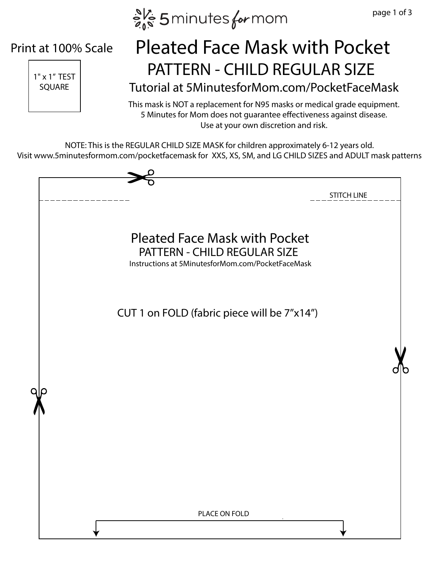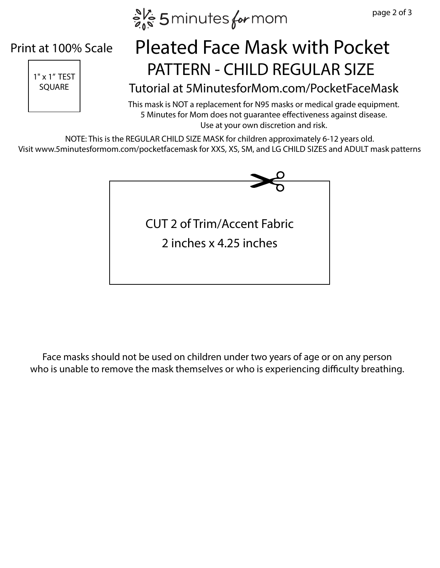$e^{N_c}$  5 minutes for mom

## Print at 100% Scale



## $\left| \begin{array}{ccc} \frac{1}{11 \times 1^{7}} \text{TEST} \end{array} \right|$  PATTERN - CHILD REGULAR SIZE Pleated Face Mask with Pocket

## SQUARE Tutorial at 5MinutesforMom.com/PocketFaceMask

This mask is NOT a replacement for N95 masks or medical grade equipment. 5 Minutes for Mom does not guarantee effectiveness against disease. Use at your own discretion and risk.

NOTE: This is the REGULAR CHILD SIZE MASK for children approximately 6-12 years old. Visit www.5minutesformom.com/pocketfacemask for XXS, XS, SM, and LG CHILD SIZES and ADULT mask patterns



Face masks should not be used on children under two years of age or on any person who is unable to remove the mask themselves or who is experiencing difficulty breathing.